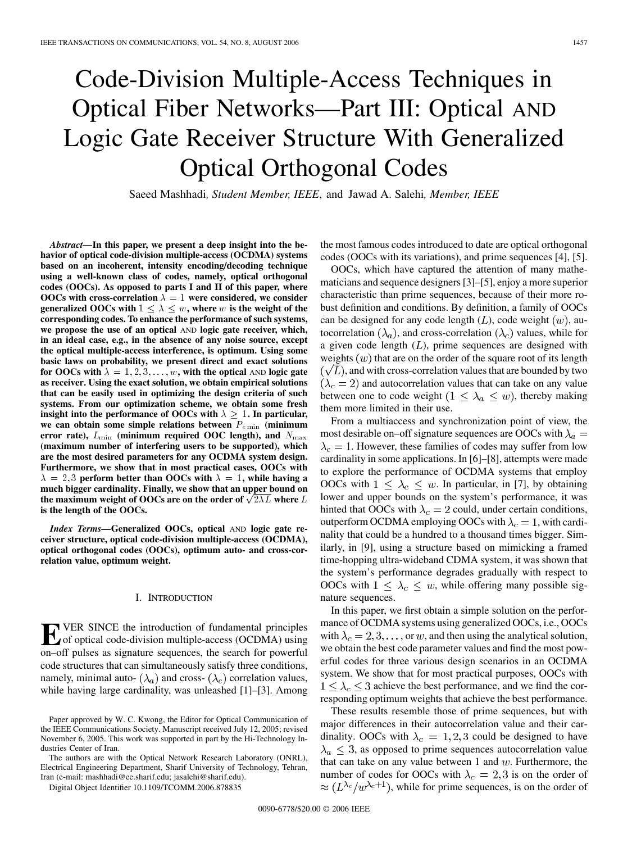# Code-Division Multiple-Access Techniques in Optical Fiber Networks—Part III: Optical AND Logic Gate Receiver Structure With Generalized Optical Orthogonal Codes

Saeed Mashhadi*, Student Member, IEEE*, and Jawad A. Salehi*, Member, IEEE*

*Abstract—***In this paper, we present a deep insight into the behavior of optical code-division multiple-access (OCDMA) systems based on an incoherent, intensity encoding/decoding technique using a well-known class of codes, namely, optical orthogonal codes (OOCs). As opposed to parts I and II of this paper, where OOCs** with cross-correlation  $\lambda = 1$  were considered, we consider **generalized OOCs with**  $1 \leq \lambda \leq w$ , where w **is the weight of the corresponding codes. To enhance the performance of such systems, we propose the use of an optical** AND **logic gate receiver, which, in an ideal case, e.g., in the absence of any noise source, except the optical multiple-access interference, is optimum. Using some basic laws on probability, we present direct and exact solutions for OOCs with**  $\lambda = 1, 2, 3, \dots, w$ , with the optical AND logic gate **as receiver. Using the exact solution, we obtain empirical solutions that can be easily used in optimizing the design criteria of such systems. From our optimization scheme, we obtain some fresh insight into the performance of OOCs with**  $\lambda \geq 1$ . In particular, **we can obtain some simple relations between** Pe min **(minimum error rate),**  $L_{\text{min}}$  (minimum required OOC length), and  $N_{\text{max}}$ **(maximum number of interfering users to be supported), which are the most desired parameters for any OCDMA system design. Furthermore, we show that in most practical cases, OOCs with**  $\lambda = 2, 3$  **perform better than OOCs with**  $\lambda = 1$ , while having a **much bigger cardinality. Finally, we show that an upper bound on the maximum weight of OOCs are on the order of**  $\sqrt{2\lambda}L$  **where L is the length of the OOCs.**

*Index Terms—***Generalized OOCs, optical** AND **logic gate receiver structure, optical code-division multiple-access (OCDMA), optical orthogonal codes (OOCs), optimum auto- and cross-correlation value, optimum weight.**

#### I. INTRODUCTION

**EVER SINCE the introduction of fundamental principles**<br>of optical code-division multiple-access (OCDMA) using<br>one of pulses as signature sequences the search for powerful on–off pulses as signature sequences, the search for powerful code structures that can simultaneously satisfy three conditions, namely, minimal auto-  $(\lambda_a)$  and cross-  $(\lambda_c)$  correlation values, while having large cardinality, was unleashed [\[1\]](#page-10-0)[–\[3\].](#page-11-0) Among the most famous codes introduced to date are optical orthogonal codes (OOCs with its variations), and prime sequences [\[4\]](#page-11-0), [\[5\].](#page-11-0)

OOCs, which have captured the attention of many mathematicians and sequence designers [\[3\]–\[5\]](#page-11-0), enjoy a more superior characteristic than prime sequences, because of their more robust definition and conditions. By definition, a family of OOCs can be designed for any code length  $(L)$ , code weight  $(w)$ , autocorrelation  $(\lambda_a)$ , and cross-correlation  $(\lambda_c)$  values, while for a given code length  $(L)$ , prime sequences are designed with weights  $(w)$  that are on the order of the square root of its length  $(\sqrt{L})$ , and with cross-correlation values that are bounded by two  $(\lambda_c = 2)$  and autocorrelation values that can take on any value between one to code weight  $(1 \leq \lambda_a \leq w)$ , thereby making them more limited in their use.

From a multiaccess and synchronization point of view, the most desirable on–off signature sequences are OOCs with  $\lambda_a =$  $\lambda_c = 1$ . However, these families of codes may suffer from low cardinality in some applications. In [\[6\]–\[8\]](#page-11-0), attempts were made to explore the performance of OCDMA systems that employ OOCs with  $1 \leq \lambda_c \leq w$ . In particular, in [\[7\],](#page-11-0) by obtaining lower and upper bounds on the system's performance, it was hinted that OOCs with  $\lambda_c = 2$  could, under certain conditions, outperform OCDMA employing OOCs with  $\lambda_c = 1$ , with cardinality that could be a hundred to a thousand times bigger. Similarly, in [\[9\],](#page-11-0) using a structure based on mimicking a framed time-hopping ultra-wideband CDMA system, it was shown that the system's performance degrades gradually with respect to OOCs with  $1 \leq \lambda_c \leq w$ , while offering many possible signature sequences.

In this paper, we first obtain a simple solution on the performance of OCDMA systems using generalized OOCs, i.e., OOCs with  $\lambda_c = 2, 3, \dots$ , or w, and then using the analytical solution, we obtain the best code parameter values and find the most powerful codes for three various design scenarios in an OCDMA system. We show that for most practical purposes, OOCs with  $1 \leq \lambda_c \leq 3$  achieve the best performance, and we find the corresponding optimum weights that achieve the best performance.

These results resemble those of prime sequences, but with major differences in their autocorrelation value and their cardinality. OOCs with  $\lambda_c = 1, 2, 3$  could be designed to have  $\lambda_a \leq 3$ , as opposed to prime sequences autocorrelation value that can take on any value between 1 and  $w$ . Furthermore, the number of codes for OOCs with  $\lambda_c = 2, 3$  is on the order of  $\approx (L^{\lambda_c}/w^{\lambda_c+1})$ , while for prime sequences, is on the order of

Paper approved by W. C. Kwong, the Editor for Optical Communication of the IEEE Communications Society. Manuscript received July 12, 2005; revised November 6, 2005. This work was supported in part by the Hi-Technology Industries Center of Iran.

The authors are with the Optical Network Research Laboratory (ONRL), Electrical Engineering Department, Sharif University of Technology, Tehran, Iran (e-mail: mashhadi@ee.sharif.edu; jasalehi@sharif.edu).

Digital Object Identifier 10.1109/TCOMM.2006.878835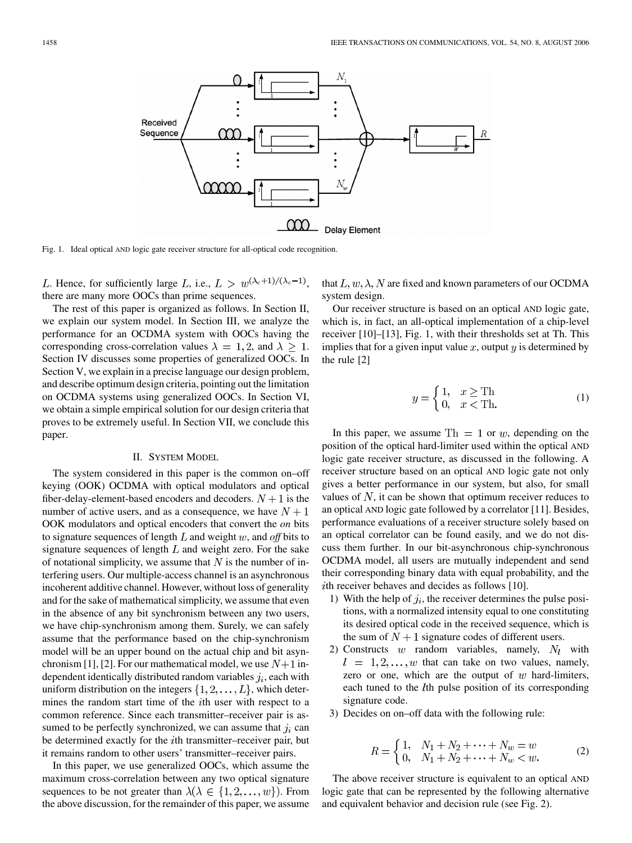

Fig. 1. Ideal optical AND logic gate receiver structure for all-optical code recognition.

L. Hence, for sufficiently large L, i.e.,  $L > w^{(\lambda_c+1)/(\lambda_c-1)}$ , there are many more OOCs than prime sequences.

The rest of this paper is organized as follows. In Section II, we explain our system model. In [Section III,](#page-3-0) we analyze the performance for an OCDMA system with OOCs having the corresponding cross-correlation values  $\lambda = 1, 2$ , and  $\lambda \geq 1$ . [Section IV](#page-5-0) discusses some properties of generalized OOCs. In [Section V,](#page-6-0) we explain in a precise language our design problem, and describe optimum design criteria, pointing out the limitation on OCDMA systems using generalized OOCs. In [Section VI](#page-7-0), we obtain a simple empirical solution for our design criteria that proves to be extremely useful. In [Section VII,](#page-8-0) we conclude this paper.

#### II. SYSTEM MODEL

The system considered in this paper is the common on–off keying (OOK) OCDMA with optical modulators and optical fiber-delay-element-based encoders and decoders.  $N + 1$  is the number of active users, and as a consequence, we have  $N + 1$ OOK modulators and optical encoders that convert the *on* bits to signature sequences of length  $L$  and weight  $w$ , and *off* bits to signature sequences of length  $L$  and weight zero. For the sake of notational simplicity, we assume that  $N$  is the number of interfering users. Our multiple-access channel is an asynchronous incoherent additive channel. However, without loss of generality and for the sake of mathematical simplicity, we assume that even in the absence of any bit synchronism between any two users, we have chip-synchronism among them. Surely, we can safely assume that the performance based on the chip-synchronism model will be an upper bound on the actual chip and bit asyn-chronism [\[1\]](#page-10-0), [\[2\]](#page-11-0). For our mathematical model, we use  $N+1$  independent identically distributed random variables  $j_i$ , each with uniform distribution on the integers  $\{1, 2, \ldots, L\}$ , which determines the random start time of the  $i$ th user with respect to a common reference. Since each transmitter–receiver pair is assumed to be perfectly synchronized, we can assume that  $j_i$  can be determined exactly for the *i*th transmitter–receiver pair, but it remains random to other users' transmitter–receiver pairs.

In this paper, we use generalized OOCs, which assume the maximum cross-correlation between any two optical signature sequences to be not greater than  $\lambda(\lambda \in \{1, 2, ..., w\})$ . From the above discussion, for the remainder of this paper, we assume that  $L, w, \lambda, N$  are fixed and known parameters of our OCDMA system design.

Our receiver structure is based on an optical AND logic gate, which is, in fact, an all-optical implementation of a chip-level receiver [\[10\]–\[13\]](#page-11-0), Fig. 1, with their thresholds set at Th. This implies that for a given input value  $x$ , output  $y$  is determined by the rule [\[2\]](#page-11-0)

$$
y = \begin{cases} 1, & x \ge \text{Th} \\ 0, & x < \text{Th.} \end{cases} \tag{1}
$$

In this paper, we assume  $Th = 1$  or w, depending on the position of the optical hard-limiter used within the optical AND logic gate receiver structure, as discussed in the following. A receiver structure based on an optical AND logic gate not only gives a better performance in our system, but also, for small values of  $N$ , it can be shown that optimum receiver reduces to an optical AND logic gate followed by a correlator [\[11\].](#page-11-0) Besides, performance evaluations of a receiver structure solely based on an optical correlator can be found easily, and we do not discuss them further. In our bit-asynchronous chip-synchronous OCDMA model, all users are mutually independent and send their corresponding binary data with equal probability, and the  $i$ th receiver behaves and decides as follows [\[10\].](#page-11-0)

- 1) With the help of  $j_i$ , the receiver determines the pulse positions, with a normalized intensity equal to one constituting its desired optical code in the received sequence, which is the sum of  $N+1$  signature codes of different users.
- 2) Constructs  $w$  random variables, namely,  $N_l$  with  $t = 1, 2, \dots, w$  that can take on two values, namely, zero or one, which are the output of  $w$  hard-limiters, each tuned to the *th pulse position of its corresponding* signature code.
- 3) Decides on on–off data with the following rule:

$$
R = \begin{cases} 1, & N_1 + N_2 + \dots + N_w = w \\ 0, & N_1 + N_2 + \dots + N_w < w. \end{cases} \tag{2}
$$

The above receiver structure is equivalent to an optical AND logic gate that can be represented by the following alternative and equivalent behavior and decision rule (see [Fig. 2](#page-2-0)).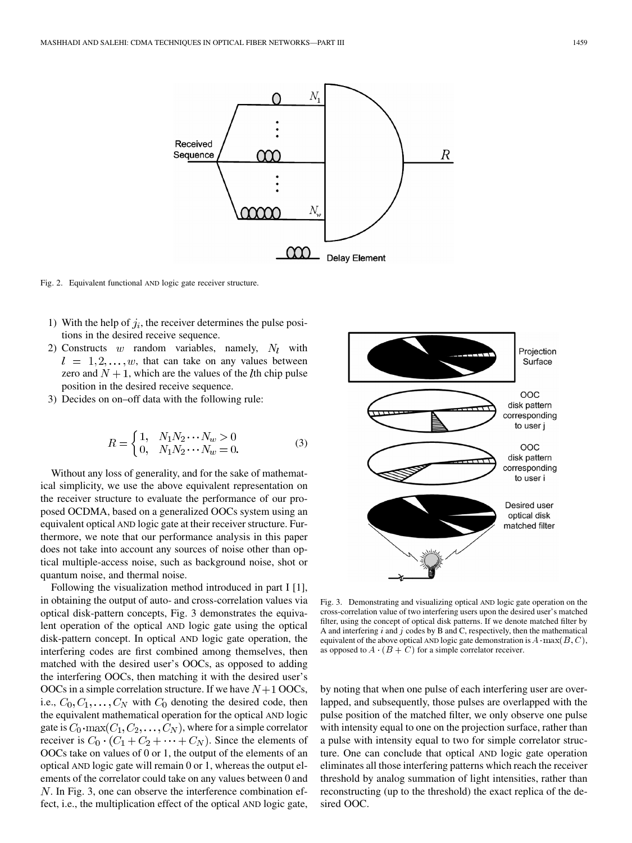<span id="page-2-0"></span>

Fig. 2. Equivalent functional AND logic gate receiver structure.

- 1) With the help of  $j_i$ , the receiver determines the pulse positions in the desired receive sequence.
- 2) Constructs w random variables, namely,  $N_l$  with  $l = 1, 2, \ldots, w$ , that can take on any values between zero and  $N + 1$ , which are the values of the *l*th chip pulse position in the desired receive sequence.
- 3) Decides on on–off data with the following rule:

$$
R = \begin{cases} 1, & N_1 N_2 \cdots N_w > 0 \\ 0, & N_1 N_2 \cdots N_w = 0. \end{cases}
$$
 (3)

Without any loss of generality, and for the sake of mathematical simplicity, we use the above equivalent representation on the receiver structure to evaluate the performance of our proposed OCDMA, based on a generalized OOCs system using an equivalent optical AND logic gate at their receiver structure. Furthermore, we note that our performance analysis in this paper does not take into account any sources of noise other than optical multiple-access noise, such as background noise, shot or quantum noise, and thermal noise.

Following the visualization method introduced in part I [\[1\],](#page-10-0) in obtaining the output of auto- and cross-correlation values via optical disk-pattern concepts, Fig. 3 demonstrates the equivalent operation of the optical AND logic gate using the optical disk-pattern concept. In optical AND logic gate operation, the interfering codes are first combined among themselves, then matched with the desired user's OOCs, as opposed to adding the interfering OOCs, then matching it with the desired user's OOCs in a simple correlation structure. If we have  $N+1$  OOCs, i.e.,  $C_0, C_1, \ldots, C_N$  with  $C_0$  denoting the desired code, then the equivalent mathematical operation for the optical AND logic gate is  $C_0$ ·max $(C_1, C_2, \ldots, C_N)$ , where for a simple correlator receiver is  $C_0 \cdot (C_1 + C_2 + \cdots + C_N)$ . Since the elements of OOCs take on values of 0 or 1, the output of the elements of an optical AND logic gate will remain 0 or 1, whereas the output elements of the correlator could take on any values between 0 and . In Fig. 3, one can observe the interference combination effect, i.e., the multiplication effect of the optical AND logic gate,



Fig. 3. Demonstrating and visualizing optical AND logic gate operation on the cross-correlation value of two interfering users upon the desired user's matched filter, using the concept of optical disk patterns. If we denote matched filter by filter, using the concept of optical disk patterns. It we denote matched filter by A and interfering i and j codes by B and C, respectively, then the mathematical equivalent of the above optical AND logic gate demonstrati equivalent of the above optical AND logic gate demonstration is  $A \cdot \max(B, C)$ , as opposed to  $A \cdot (B + C)$  for a simple correlator receiver.

by noting that when one pulse of each interfering user are overlapped, and subsequently, those pulses are overlapped with the pulse position of the matched filter, we only observe one pulse with intensity equal to one on the projection surface, rather than a pulse with intensity equal to two for simple correlator structure. One can conclude that optical AND logic gate operation eliminates all those interfering patterns which reach the receiver threshold by analog summation of light intensities, rather than reconstructing (up to the threshold) the exact replica of the desired OOC.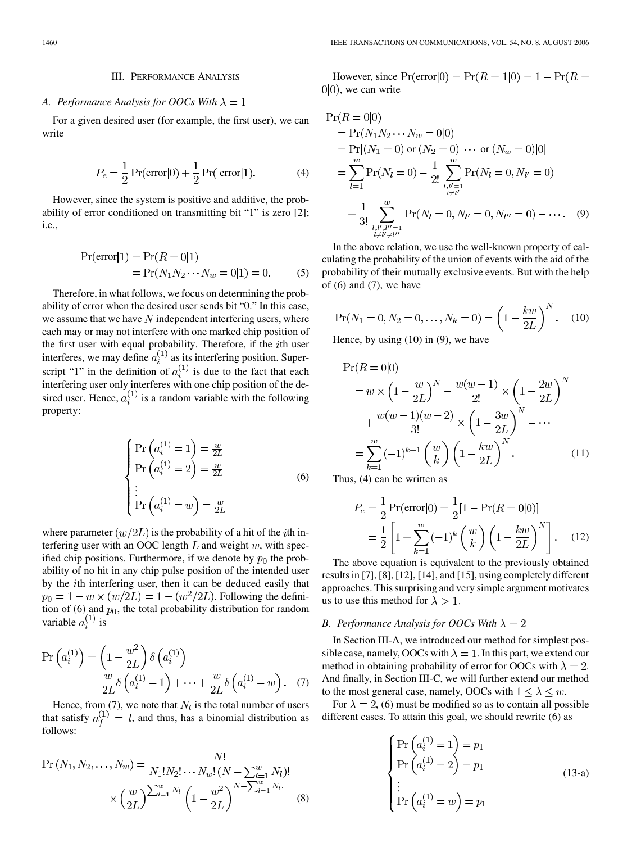## <span id="page-3-0"></span>*A. Performance Analysis for OOCs With*  $\lambda = 1$

For a given desired user (for example, the first user), we can write

$$
P_e = \frac{1}{2} \Pr(\text{error}|0) + \frac{1}{2} \Pr(\text{error}|1). \tag{4}
$$

However, since the system is positive and additive, the probability of error conditioned on transmitting bit "1" is zero [\[2\];](#page-11-0) i.e.,

$$
Pr(\text{error}|1) = Pr(R = 0|1)
$$
  
= Pr(N<sub>1</sub>N<sub>2</sub> ··· N<sub>w</sub> = 0|1) = 0. (5)

Therefore, in what follows, we focus on determining the probability of error when the desired user sends bit "0." In this case, we assume that we have  $N$  independent interfering users, where each may or may not interfere with one marked chip position of the first user with equal probability. Therefore, if the  $i$ th user interferes, we may define  $a_i^{(1)}$  as its interfering position. Superscript "1" in the definition of  $a_i^{(1)}$  is due to the fact that each interfering user only interferes with one chip position of the desired user. Hence,  $a_i^{(1)}$  is a random variable with the following property:

$$
\begin{cases}\n\Pr\left(a_i^{(1)}=1\right) = \frac{w}{2L} \\
\Pr\left(a_i^{(1)}=2\right) = \frac{w}{2L} \\
\vdots \\
\Pr\left(a_i^{(1)}=w\right) = \frac{w}{2L}\n\end{cases}
$$
\n(6)

where parameter  $(w/2L)$  is the probability of a hit of the *i*th interfering user with an OOC length  $L$  and weight  $w$ , with specified chip positions. Furthermore, if we denote by  $p_0$  the probability of no hit in any chip pulse position of the intended user by the *i*th interfering user, then it can be deduced easily that  $p_0 = 1 - w \times (w/2L) = 1 - (w^2/2L)$ . Following the definition of (6) and  $p_0$ , the total probability distribution for random variable  $a_i^{(1)}$  is

$$
\Pr\left(a_i^{(1)}\right) = \left(1 - \frac{w^2}{2L}\right) \delta\left(a_i^{(1)}\right) + \frac{w}{2L} \delta\left(a_i^{(1)} - 1\right) + \dots + \frac{w}{2L} \delta\left(a_i^{(1)} - w\right). \tag{7}
$$

Hence, from  $(7)$ , we note that  $N_l$  is the total number of users that satisfy  $a_f^{(1)} = l$ , and thus, has a binomial distribution as follows:

$$
\Pr(N_1, N_2, \dots, N_w) = \frac{N!}{N_1! N_2! \cdots N_w! \left(N - \sum_{l=1}^w N_l\right)!} \times \left(\frac{w}{2L}\right)^{\sum_{l=1}^w N_l} \left(1 - \frac{w^2}{2L}\right)^{N - \sum_{l=1}^w N_l} \tag{8}
$$

However, since  $Pr(\text{error}|0) = Pr(R = 1|0) = 1 - Pr(R = 1)$  $0|0\rangle$ , we can write

$$
\Pr(R = 0|0) \n= \Pr(N_1 N_2 \cdots N_w = 0|0) \n= \Pr[(N_1 = 0) \text{ or } (N_2 = 0) \cdots \text{ or } (N_w = 0)|0] \n= \sum_{l=1}^{w} \Pr(N_l = 0) - \frac{1}{2!} \sum_{\substack{l,l'=1 \\ l \neq l'}}^{w} \Pr(N_l = 0, N_{l'} = 0) \n+ \frac{1}{3!} \sum_{\substack{l,l',l''=1 \\ l \neq l' \neq l''}}^{w} \Pr(N_l = 0, N_{l'} = 0, N_{l''} = 0) - \cdots.
$$
\n(9)

In the above relation, we use the well-known property of calculating the probability of the union of events with the aid of the probability of their mutually exclusive events. But with the help of  $(6)$  and  $(7)$ , we have

$$
Pr(N_1 = 0, N_2 = 0, ..., N_k = 0) = \left(1 - \frac{kw}{2L}\right)^N.
$$
 (10)

Hence, by using  $(10)$  in  $(9)$ , we have

$$
\Pr(R = 0|0) \n= w \times \left(1 - \frac{w}{2L}\right)^N - \frac{w(w-1)}{2!} \times \left(1 - \frac{2w}{2L}\right)^N \n+ \frac{w(w-1)(w-2)}{3!} \times \left(1 - \frac{3w}{2L}\right)^N - \cdots \n= \sum_{k=1}^w (-1)^{k+1} {w \choose k} \left(1 - \frac{kw}{2L}\right)^N.
$$
\n(11)

Thus, (4) can be written as

$$
P_e = \frac{1}{2} \Pr(\text{error}|0) = \frac{1}{2} [1 - \Pr(R = 0|0)]
$$
  
= 
$$
\frac{1}{2} \left[ 1 + \sum_{k=1}^{w} (-1)^k \binom{w}{k} \left( 1 - \frac{kw}{2L} \right)^N \right].
$$
 (12)

The above equation is equivalent to the previously obtained results in [\[7\], \[8\]](#page-11-0), [\[12\]](#page-11-0), [\[14\]](#page-11-0), and [\[15\]](#page-11-0), using completely different approaches. This surprising and very simple argument motivates us to use this method for  $\lambda > 1$ .

#### *B. Performance Analysis for OOCs With*  $\lambda = 2$

In Section III-A, we introduced our method for simplest possible case, namely, OOCs with  $\lambda = 1$ . In this part, we extend our method in obtaining probability of error for OOCs with  $\lambda = 2$ . And finally, in Section III-C, we will further extend our method to the most general case, namely, OOCs with  $1 \leq \lambda \leq w$ .

For  $\lambda = 2$ , (6) must be modified so as to contain all possible different cases. To attain this goal, we should rewrite (6) as

$$
\begin{cases}\n\Pr\left(a_i^{(1)}=1\right) = p_1 \\
\Pr\left(a_i^{(1)}=2\right) = p_1 \\
\vdots \\
\Pr\left(a_i^{(1)}=w\right) = p_1\n\end{cases}
$$
\n(13-a)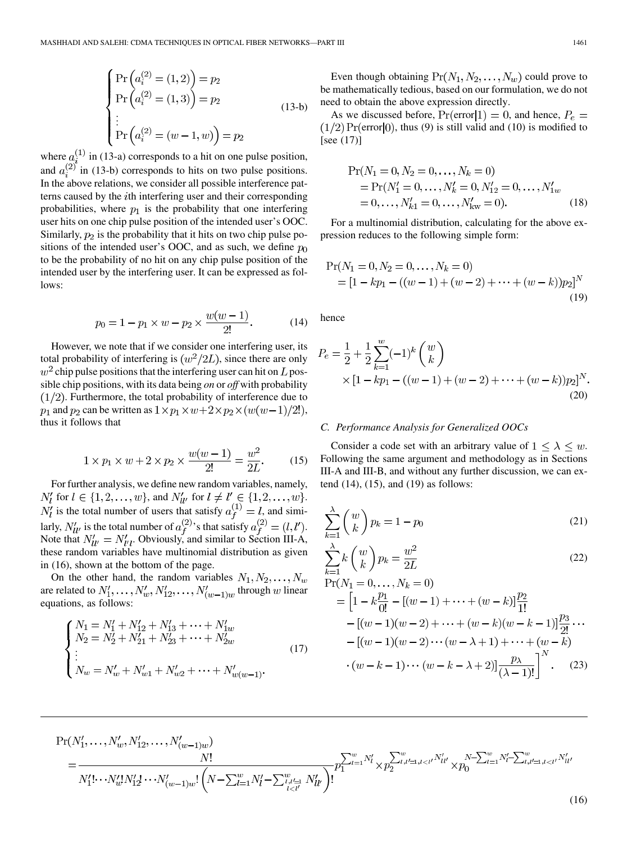<span id="page-4-0"></span>
$$
\begin{cases}\n\Pr\left(a_i^{(2)} = (1,2)\right) = p_2 \\
\Pr\left(a_i^{(2)} = (1,3)\right) = p_2 \\
\vdots \\
\Pr\left(a_i^{(2)} = (w-1,w)\right) = p_2\n\end{cases}
$$
\n(13-b)

where  $a_i^{(1)}$  in [\(13-a\)](#page-3-0) corresponds to a hit on one pulse position, and  $a_i^{(2)}$  in [\(13-b\)](#page-3-0) corresponds to hits on two pulse positions. In the above relations, we consider all possible interference patterns caused by the *i*th interfering user and their corresponding probabilities, where  $p_1$  is the probability that one interfering user hits on one chip pulse position of the intended user's OOC. Similarly,  $p_2$  is the probability that it hits on two chip pulse positions of the intended user's OOC, and as such, we define  $p_0$ to be the probability of no hit on any chip pulse position of the intended user by the interfering user. It can be expressed as follows:

$$
p_0 = 1 - p_1 \times w - p_2 \times \frac{w(w-1)}{2!}.
$$
 (14)

However, we note that if we consider one interfering user, its total probability of interfering is  $(w^2/2L)$ , since there are only  $w<sup>2</sup>$  chip pulse positions that the interfering user can hit on L possible chip positions, with its data being *on* or *off* with probability  $(1/2)$ . Furthermore, the total probability of interference due to  $p_1$  and  $p_2$  can be written as  $1 \times p_1 \times w + 2 \times p_2 \times (w(w-1)/2!)$ , thus it follows that

$$
1 \times p_1 \times w + 2 \times p_2 \times \frac{w(w-1)}{2!} = \frac{w^2}{2L}.
$$
 (15)

For further analysis, we define new random variables, namely,  $N'_l$  for  $l \in \{1, 2, ..., w\}$ , and  $N'_{ll'}$  for  $l \neq l' \in \{1, 2, ..., w\}$ .  $N'_l$  is the total number of users that satisfy  $a_f^{(1)} = l$ , and similarly,  $N'_{ll'}$  is the total number of  $a^{(2)}_f$ 's that satisfy  $a^{(2)}_f = (l, l').$ Note that  $N'_{ll'} = N'_{l'l}$ . Obviously, and similar to [Section III-A,](#page-3-0) these random variables have multinomial distribution as given in (16), shown at the bottom of the page.

On the other hand, the random variables  $N_1, N_2, \ldots, N_w$ are related to  $N'_1, \ldots, N'_w, N'_{12}, \ldots, N'_{(w-1)w}$  through w linear equations, as follows:

$$
\begin{cases}\nN_1 = N_1' + N_{12}' + N_{13}' + \dots + N_{1w}' \\
N_2 = N_2' + N_{21}' + N_{23}' + \dots + N_{2w}' \\
\vdots \\
N_w = N_w' + N_{w1}' + N_{w2}' + \dots + N_{w(w-1)}'.\n\end{cases} (17)
$$

 $2.71$ 

Even though obtaining  $Pr(N_1, N_2, \ldots, N_w)$  could prove to be mathematically tedious, based on our formulation, we do not need to obtain the above expression directly.

As we discussed before,  $Pr(error|1) = 0$ , and hence,  $P_e$  =  $(1/2) \Pr(\text{error} | 0)$ , thus [\(9\)](#page-3-0) is still valid and [\(10\)](#page-3-0) is modified to [see (17)]

$$
Pr(N_1 = 0, N_2 = 0, ..., N_k = 0)
$$
  
= Pr(N'\_1 = 0, ..., N'\_k = 0, N'\_12 = 0, ..., N'\_1w  
= 0, ..., N'\_{k1} = 0, ..., N'\_{kw} = 0). (18)

For a multinomial distribution, calculating for the above expression reduces to the following simple form:

$$
Pr(N_1 = 0, N_2 = 0, ..., N_k = 0)
$$
  
=  $[1 - kp_1 - ((w - 1) + (w - 2) + ... + (w - k))p_2]^N$  (19)

hence

$$
P_e = \frac{1}{2} + \frac{1}{2} \sum_{k=1}^{w} (-1)^k {w \choose k}
$$
  
 
$$
\times [1 - kp_1 - ((w - 1) + (w - 2) + \dots + (w - k))p_2]^N
$$
  
(20)

## *C. Performance Analysis for Generalized OOCs*

Consider a code set with an arbitrary value of  $1 \leq \lambda \leq w$ . Following the same argument and methodology as in [Sections](#page-3-0) III-A and [III-B](#page-3-0), and without any further discussion, we can extend (14), (15), and (19) as follows:

$$
\sum_{k=1}^{\lambda} \binom{w}{k} p_k = 1 - p_0 \tag{21}
$$

$$
\sum_{k=1}^{\lambda} k \binom{w}{k} p_k = \frac{w^2}{2L} \tag{22}
$$

$$
\Pr(N_1 = 0, \dots, N_k = 0)
$$
  
=  $\left[1 - k \frac{p_1}{0!} - [(w - 1) + \dots + (w - k)] \frac{p_2}{1!} - [(w - 1)(w - 2) + \dots + (w - k)(w - k - 1)] \frac{p_3}{2!} \dots \right.$   
-  $[(w - 1)(w - 2) \dots (w - \lambda + 1) + \dots + (w - k) \cdot (w - k - 1) \dots (w - k - \lambda + 2)] \frac{p_\lambda}{(\lambda - 1)!} \right]^N$ . (23)

$$
\Pr(N'_1, \ldots, N'_w, N'_{12}, \ldots, N'_{(w-1)w})
$$
\n
$$
= \frac{N!}{N'_1! \cdots N'_w! N'_1! \cdots N'_{(w-1)w}!} \left(N - \sum_{l=1}^w N'_l - \sum_{l,l'=1}^w N'_{ll'}\right)!
$$
\n
$$
p_1^{\sum_{l=1}^w N'_l} \times p_2^{\sum_{l,l'=1,l
$$

(16)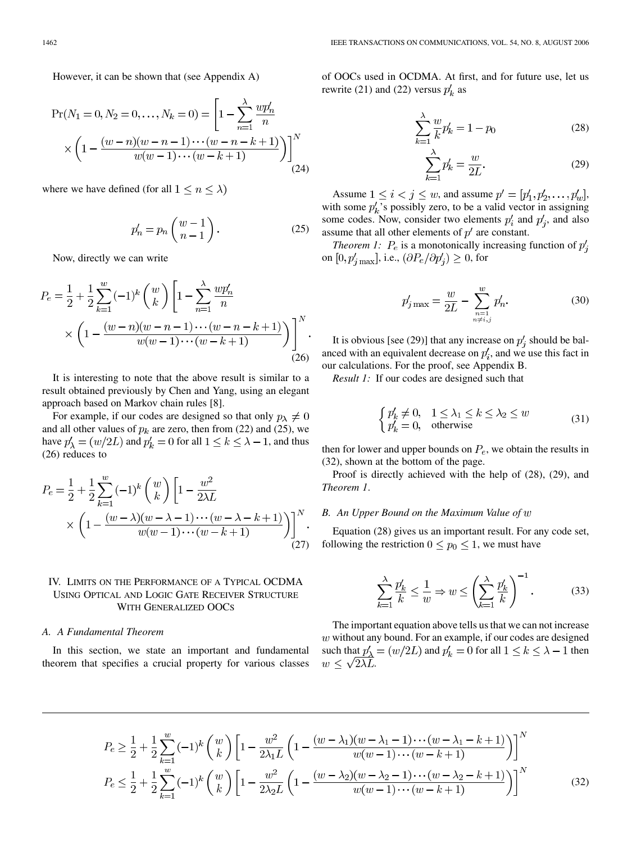<span id="page-5-0"></span>However, it can be shown that (see [Appendix A](#page-9-0))

$$
\Pr(N_1 = 0, N_2 = 0, \dots, N_k = 0) = \left[1 - \sum_{n=1}^{\lambda} \frac{wp'_n}{n} \times \left(1 - \frac{(w-n)(w-n-1)\cdots(w-n-k+1)}{w(w-1)\cdots(w-k+1)}\right)\right]^N
$$
\n(24)

where we have defined (for all  $1 \leq n \leq \lambda$ )

$$
p'_n = p_n \left( \begin{array}{c} w - 1 \\ n - 1 \end{array} \right). \tag{25}
$$

Now, directly we can write

$$
P_e = \frac{1}{2} + \frac{1}{2} \sum_{k=1}^{w} (-1)^k {w \choose k} \left[ 1 - \sum_{n=1}^{\lambda} \frac{wp'_n}{n} \times \left( 1 - \frac{(w-n)(w-n-1)\cdots(w-n-k+1)}{w(w-1)\cdots(w-k+1)} \right) \right]^N.
$$
\n(26)

It is interesting to note that the above result is similar to a result obtained previously by Chen and Yang, using an elegant approach based on Markov chain rules [\[8\].](#page-11-0)

For example, if our codes are designed so that only  $p_{\lambda} \neq 0$ and all other values of  $p_k$  are zero, then from [\(22\)](#page-4-0) and (25), we have  $p'_\lambda = (w/2L)$  and  $p'_k = 0$  for all  $1 \leq k \leq \lambda - 1$ , and thus (26) reduces to

$$
P_e = \frac{1}{2} + \frac{1}{2} \sum_{k=1}^{w} (-1)^k {w \choose k} \left[ 1 - \frac{w^2}{2\lambda L} + \frac{w^2}{2\lambda L} \right]
$$

$$
\times \left( 1 - \frac{(w - \lambda)(w - \lambda - 1) \cdots (w - \lambda - k + 1)}{w(w - 1) \cdots (w - k + 1)} \right) \bigg]^N.
$$
(27)

# IV. LIMITS ON THE PERFORMANCE OF A TYPICAL OCDMA USING OPTICAL AND LOGIC GATE RECEIVER STRUCTURE WITH GENERALIZED OOCS

## *A. A Fundamental Theorem*

In this section, we state an important and fundamental theorem that specifies a crucial property for various classes

of OOCs used in OCDMA. At first, and for future use, let us rewrite [\(21\)](#page-4-0) and [\(22\)](#page-4-0) versus  $p'_k$  as

$$
\sum_{k=1}^{\lambda} \frac{w}{k} p'_k = 1 - p_0
$$
 (28)

$$
\sum_{k=1}^{\lambda} p'_k = \frac{w}{2L}.
$$
\n(29)

Assume  $1 \leq i < j \leq w$ , and assume  $p' = [p'_1, p'_2, \ldots, p'_w]$ , with some  $p'_{k}$ 's possibly zero, to be a valid vector in assigning some codes. Now, consider two elements  $p'_i$  and  $p'_i$ , and also assume that all other elements of  $p'$  are constant.

*Theorem 1:*  $P_e$  is a monotonically increasing function of  $p'_i$ on  $[0, p'_{jmax}]$ , i.e.,  $(\partial P_e/\partial p'_j) \geq 0$ , for

$$
p'_{j\max} = \frac{w}{2L} - \sum_{\substack{n=1\\n \neq i,j}}^w p'_n.
$$
 (30)

It is obvious [see (29)] that any increase on  $p'_i$  should be balanced with an equivalent decrease on  $p'_i$ , and we use this fact in our calculations. For the proof, see [Appendix B](#page-9-0).

*Result 1:* If our codes are designed such that

$$
\begin{cases} p'_k \neq 0, & 1 \le \lambda_1 \le k \le \lambda_2 \le w \\ p'_k = 0, & \text{otherwise} \end{cases}
$$
 (31)

then for lower and upper bounds on  $P_e$ , we obtain the results in (32), shown at the bottom of the page.

Proof is directly achieved with the help of (28), (29), and *Theorem 1*.

#### *B. An Upper Bound on the Maximum Value of*

Equation (28) gives us an important result. For any code set, following the restriction  $0 \le p_0 \le 1$ , we must have

$$
\sum_{k=1}^{\lambda} \frac{p'_k}{k} \le \frac{1}{w} \Rightarrow w \le \left(\sum_{k=1}^{\lambda} \frac{p'_k}{k}\right)^{-1}.
$$
 (33)

The important equation above tells us that we can not increase  $w$  without any bound. For an example, if our codes are designed such that  $p'_{\lambda} = (w/2L)$  and  $p'_{k} = 0$  for all  $1 \leq k \leq \lambda - 1$  then  $w \leq \sqrt{2\lambda L}$ .

$$
P_e \ge \frac{1}{2} + \frac{1}{2} \sum_{k=1}^{w} (-1)^k {w \choose k} \left[ 1 - \frac{w^2}{2\lambda_1 L} \left( 1 - \frac{(w - \lambda_1)(w - \lambda_1 - 1) \cdots (w - \lambda_1 - k + 1)}{w(w - 1) \cdots (w - k + 1)} \right) \right]^N
$$
  
\n
$$
P_e \le \frac{1}{2} + \frac{1}{2} \sum_{k=1}^{w} (-1)^k {w \choose k} \left[ 1 - \frac{w^2}{2\lambda_2 L} \left( 1 - \frac{(w - \lambda_2)(w - \lambda_2 - 1) \cdots (w - \lambda_2 - k + 1)}{w(w - 1) \cdots (w - k + 1)} \right) \right]^N
$$
(32)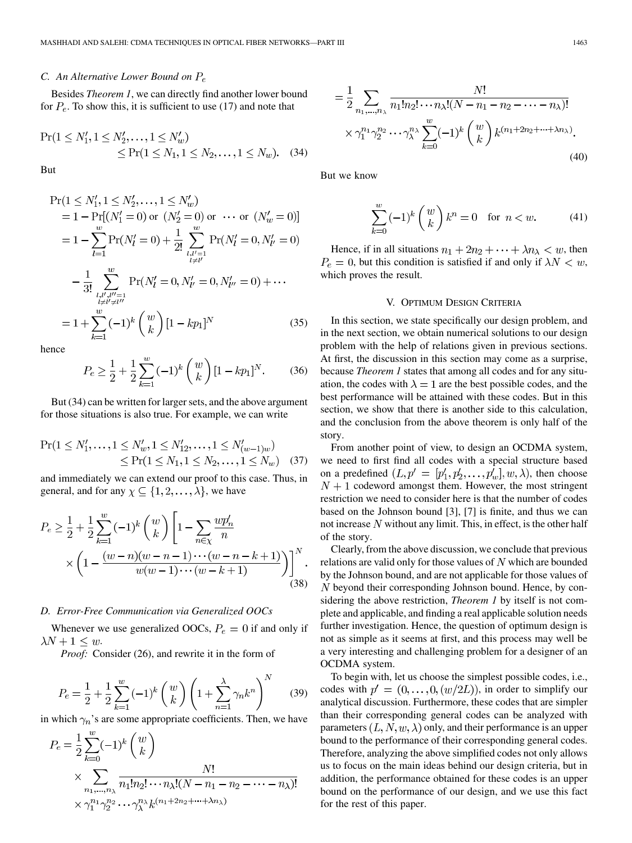## <span id="page-6-0"></span>*C. An Alternative Lower Bound on*

Besides *Theorem 1*, we can directly find another lower bound for  $P_e$ . To show this, it is sufficient to use [\(17\)](#page-4-0) and note that

$$
\Pr(1 \le N'_1, 1 \le N'_2, \dots, 1 \le N'_w) \le \Pr(1 \le N_1, 1 \le N_2, \dots, 1 \le N_w). \quad (34)
$$

But

$$
\Pr(1 \le N'_1, 1 \le N'_2, \dots, 1 \le N'_w) \n= 1 - \Pr[(N'_1 = 0) \text{ or } (N'_2 = 0) \text{ or } \dots \text{ or } (N'_w = 0)] \n= 1 - \sum_{l=1}^w \Pr(N'_l = 0) + \frac{1}{2!} \sum_{\substack{l,l'=1 \\ l \ne l'}}^w \Pr(N'_l = 0, N'_{l'} = 0, N'_{l'} = 0) \n- \frac{1}{3!} \sum_{\substack{l,l',l''=1 \\ l \ne l' \ne l''}}^w \Pr(N'_l = 0, N'_{l'} = 0, N'_{l''} = 0) + \dots \n= 1 + \sum_{k=1}^w (-1)^k {w \choose k} [1 - kp_1]^N
$$
\n(35)

hence

$$
P_e \ge \frac{1}{2} + \frac{1}{2} \sum_{k=1}^{w} (-1)^k {w \choose k} [1 - kp_1]^N.
$$
 (36)

But (34) can be written for larger sets, and the above argument for those situations is also true. For example, we can write

$$
\Pr(1 \le N'_1, \dots, 1 \le N'_w, 1 \le N'_1, \dots, 1 \le N'_{(w-1)w})
$$
  
 
$$
\le \Pr(1 \le N_1, 1 \le N_2, \dots, 1 \le N_w) \quad (37)
$$

and immediately we can extend our proof to this case. Thus, in general, and for any  $\chi \subseteq \{1, 2, ..., \lambda\}$ , we have

$$
P_e \ge \frac{1}{2} + \frac{1}{2} \sum_{k=1}^{w} (-1)^k {w \choose k} \left[ 1 - \sum_{n \in \chi} \frac{wp'_n}{n} \times \left( 1 - \frac{(w-n)(w-n-1)\cdots(w-n-k+1)}{w(w-1)\cdots(w-k+1)} \right) \right]^N.
$$
\n(38)

#### *D. Error-Free Communication via Generalized OOCs*

Whenever we use generalized OOCs,  $P_e = 0$  if and only if  $\lambda N+1\leq w.$ 

*Proof:* Consider [\(26\)](#page-5-0), and rewrite it in the form of

$$
P_e = \frac{1}{2} + \frac{1}{2} \sum_{k=1}^{w} (-1)^k \binom{w}{k} \left( 1 + \sum_{n=1}^{\lambda} \gamma_n k^n \right)^N \tag{39}
$$

in which  $\gamma_n$ 's are some appropriate coefficients. Then, we have

$$
P_e = \frac{1}{2} \sum_{k=0}^{w} (-1)^k {w \choose k}
$$
  
 
$$
\times \sum_{n_1, ..., n_{\lambda}} \frac{N!}{n_1! n_2! \cdots n_{\lambda}! (N - n_1 - n_2 - \cdots - n_{\lambda})!}
$$
  
 
$$
\times \gamma_1^{n_1} \gamma_2^{n_2} \cdots \gamma_{\lambda}^{n_{\lambda}} k^{(n_1 + 2n_2 + \cdots + \lambda n_{\lambda})}
$$

$$
= \frac{1}{2} \sum_{n_1, ..., n_\lambda} \frac{N!}{n_1! n_2! \cdots n_\lambda! (N - n_1 - n_2 - \cdots - n_\lambda)!}
$$
  
 
$$
\times \gamma_1^{n_1} \gamma_2^{n_2} \cdots \gamma_\lambda^{n_\lambda} \sum_{k=0}^w (-1)^k {w \choose k} k^{(n_1 + 2n_2 + \cdots + \lambda n_\lambda)}.
$$
  
(40)

But we know

$$
\sum_{k=0}^{w} (-1)^k \binom{w}{k} k^n = 0 \quad \text{for } n < w. \tag{41}
$$

Hence, if in all situations  $n_1 + 2n_2 + \cdots + \lambda n_{\lambda} < w$ , then  $P_e = 0$ , but this condition is satisfied if and only if  $\lambda N < w$ , which proves the result.

#### V. OPTIMUM DESIGN CRITERIA

In this section, we state specifically our design problem, and in the next section, we obtain numerical solutions to our design problem with the help of relations given in previous sections. At first, the discussion in this section may come as a surprise, because *Theorem 1* states that among all codes and for any situation, the codes with  $\lambda = 1$  are the best possible codes, and the best performance will be attained with these codes. But in this section, we show that there is another side to this calculation, and the conclusion from the above theorem is only half of the story.

From another point of view, to design an OCDMA system, we need to first find all codes with a special structure based on a predefined  $(L, p' = [p'_1, p'_2, \dots, p'_w], w, \lambda)$ , then choose  $N + 1$  codeword amongst them. However, the most stringent restriction we need to consider here is that the number of codes based on the Johnson bound [\[3\]](#page-11-0), [\[7\]](#page-11-0) is finite, and thus we can not increase  $N$  without any limit. This, in effect, is the other half of the story.

Clearly, from the above discussion, we conclude that previous relations are valid only for those values of  $N$  which are bounded by the Johnson bound, and are not applicable for those values of  $N$  beyond their corresponding Johnson bound. Hence, by considering the above restriction, *Theorem 1* by itself is not complete and applicable, and finding a real applicable solution needs further investigation. Hence, the question of optimum design is not as simple as it seems at first, and this process may well be a very interesting and challenging problem for a designer of an OCDMA system.

To begin with, let us choose the simplest possible codes, i.e., codes with  $p' = (0, \ldots, 0, (w/2L))$ , in order to simplify our analytical discussion. Furthermore, these codes that are simpler than their corresponding general codes can be analyzed with parameters  $(L, N, w, \lambda)$  only, and their performance is an upper bound to the performance of their corresponding general codes. Therefore, analyzing the above simplified codes not only allows us to focus on the main ideas behind our design criteria, but in addition, the performance obtained for these codes is an upper bound on the performance of our design, and we use this fact for the rest of this paper.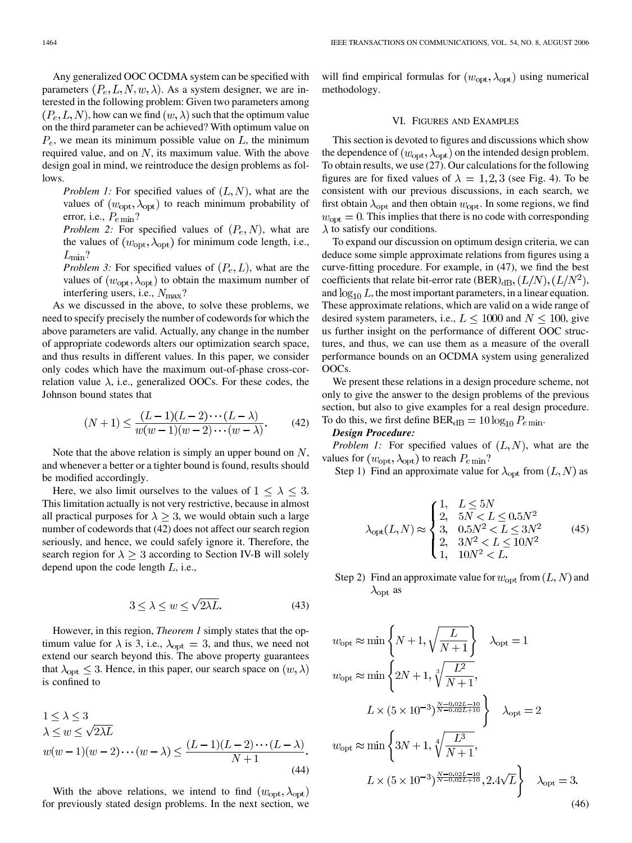<span id="page-7-0"></span>Any generalized OOC OCDMA system can be specified with parameters  $(P_e, L, N, w, \lambda)$ . As a system designer, we are interested in the following problem: Given two parameters among  $(P_e, L, N)$ , how can we find  $(w, \lambda)$  such that the optimum value on the third parameter can be achieved? With optimum value on  $P_e$ , we mean its minimum possible value on  $L$ , the minimum required value, and on  $N$ , its maximum value. With the above design goal in mind, we reintroduce the design problems as follows.

*Problem 1:* For specified values of  $(L, N)$ , what are the values of  $(w_{\text{opt}}, \lambda_{\text{opt}})$  to reach minimum probability of error, i.e.,  $P_{e \min}$ ?

*Problem 2:* For specified values of  $(P_e, N)$ , what are the values of  $(w_{\text{opt}}, \lambda_{\text{opt}})$  for minimum code length, i.e.,  $L_{\rm min}$ ?

*Problem 3:* For specified values of  $(P_e, L)$ , what are the values of  $(w_{\text{opt}}, \lambda_{\text{opt}})$  to obtain the maximum number of interfering users, i.e.,  $N_{\rm max}$ ?

As we discussed in the above, to solve these problems, we need to specify precisely the number of codewords for which the above parameters are valid. Actually, any change in the number of appropriate codewords alters our optimization search space, and thus results in different values. In this paper, we consider only codes which have the maximum out-of-phase cross-correlation value  $\lambda$ , i.e., generalized OOCs. For these codes, the Johnson bound states that

$$
(N+1) \le \frac{(L-1)(L-2)\cdots(L-\lambda)}{w(w-1)(w-2)\cdots(w-\lambda)}.\tag{42}
$$

Note that the above relation is simply an upper bound on  $N$ , and whenever a better or a tighter bound is found, results should be modified accordingly.

Here, we also limit ourselves to the values of  $1 \leq \lambda \leq 3$ . This limitation actually is not very restrictive, because in almost all practical purposes for  $\lambda \geq 3$ , we would obtain such a large number of codewords that (42) does not affect our search region seriously, and hence, we could safely ignore it. Therefore, the search region for  $\lambda \geq 3$  according to [Section IV-B](#page-5-0) will solely depend upon the code length  $L$ , i.e.,

$$
3 \le \lambda \le w \le \sqrt{2\lambda L}.\tag{43}
$$

However, in this region, *Theorem 1* simply states that the optimum value for  $\lambda$  is 3, i.e.,  $\lambda_{opt} = 3$ , and thus, we need not extend our search beyond this. The above property guarantees that  $\lambda_{\text{opt}} \leq 3$ . Hence, in this paper, our search space on  $(w, \lambda)$ is confined to

$$
1 \leq \lambda \leq 3
$$
  
\n
$$
\lambda \leq w \leq \sqrt{2\lambda L}
$$
  
\n
$$
w(w-1)(w-2)\cdots(w-\lambda) \leq \frac{(L-1)(L-2)\cdots(L-\lambda)}{N+1}.
$$
\n(44)

With the above relations, we intend to find  $(w_{\text{opt}}, \lambda_{\text{opt}})$ for previously stated design problems. In the next section, we will find empirical formulas for  $(w_{opt}, \lambda_{opt})$  using numerical methodology.

## VI. FIGURES AND EXAMPLES

This section is devoted to figures and discussions which show the dependence of  $(w_{\text{opt}}, \lambda_{\text{opt}})$  on the intended design problem. To obtain results, we use [\(27\).](#page-5-0) Our calculations for the following figures are for fixed values of  $\lambda = 1, 2, 3$  (see [Fig. 4](#page-8-0)). To be consistent with our previous discussions, in each search, we first obtain  $\lambda_{\text{opt}}$  and then obtain  $w_{\text{opt}}$ . In some regions, we find  $w_{opt} = 0$ . This implies that there is no code with corresponding  $\lambda$  to satisfy our conditions.

To expand our discussion on optimum design criteria, we can deduce some simple approximate relations from figures using a curve-fitting procedure. For example, in [\(47\),](#page-8-0) we find the best coefficients that relate bit-error rate  $(BER)_{dB}$ ,  $(L/N)$ ,  $(L/N^2)$ , and  $\log_{10} L$ , the most important parameters, in a linear equation. These approximate relations, which are valid on a wide range of desired system parameters, i.e.,  $L \le 1000$  and  $N \le 100$ , give us further insight on the performance of different OOC structures, and thus, we can use them as a measure of the overall performance bounds on an OCDMA system using generalized OOCs.

We present these relations in a design procedure scheme, not only to give the answer to the design problems of the previous section, but also to give examples for a real design procedure. To do this, we first define  $BER_{dB} = 10 \log_{10} P_{e \min}$ .

## *Design Procedure:*

*Problem 1:* For specified values of  $(L, N)$ , what are the values for  $(w_{\rm opt}, \lambda_{\rm opt})$  to reach  $P_{e \min}$ ?

Step 1) Find an approximate value for  $\lambda_{\text{opt}}$  from  $(L, N)$  as

$$
\lambda_{\text{opt}}(L, N) \approx \begin{cases} 1, & L \le 5N \\ 2, & 5N < L \le 0.5N^2 \\ 3, & 0.5N^2 < L \le 3N^2 \\ 2, & 3N^2 < L \le 10N^2 \\ 1, & 10N^2 < L. \end{cases} \tag{45}
$$

Step 2) Find an approximate value for  $w_{opt}$  from  $(L, N)$  and  $\lambda_{\rm opt}$  as

$$
w_{\rm opt} \approx \min\left\{N+1, \sqrt{\frac{L}{N+1}}\right\} \quad \lambda_{\rm opt} = 1
$$
  
\n
$$
w_{\rm opt} \approx \min\left\{2N+1, \sqrt[3]{\frac{L^2}{N+1}},
$$
  
\n
$$
L \times (5 \times 10^{-3})^{\frac{N-0.02L-10}{N-0.02L+10}}\right\} \quad \lambda_{\rm opt} = 2
$$
  
\n
$$
w_{\rm opt} \approx \min\left\{3N+1, \sqrt[4]{\frac{L^3}{N+1}},
$$
  
\n
$$
L \times (5 \times 10^{-3})^{\frac{N-0.02L-10}{N-0.02L+10}}, 2.4\sqrt{L}\right\} \quad \lambda_{\rm opt} = 3.
$$
  
\n(46)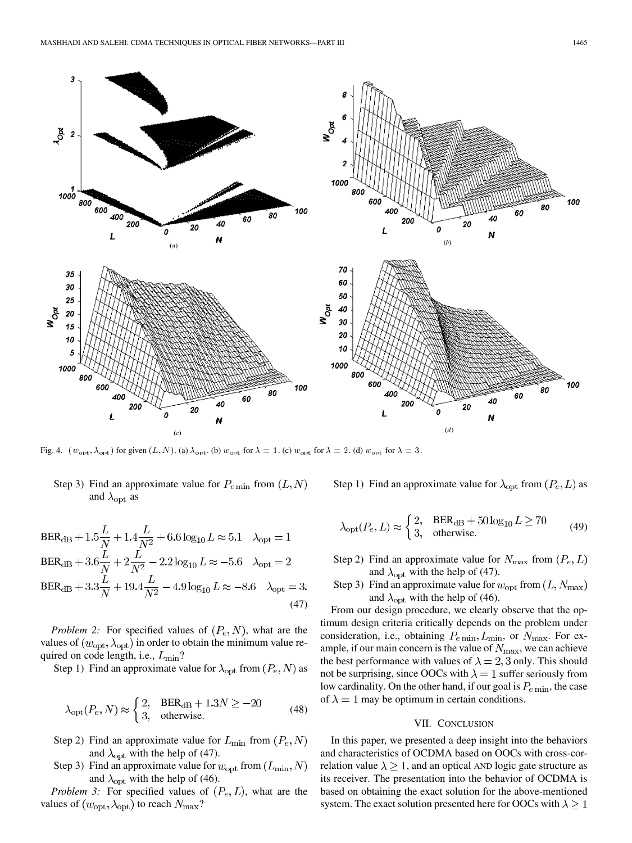<span id="page-8-0"></span>

Fig. 4.  $(w_{\rm opt}, \lambda_{\rm opt})$  for given  $(L, N)$ . (a)  $\lambda_{\rm opt}$ . (b)  $w_{\rm opt}$  for  $\lambda = 1$ . (c)  $w_{\rm opt}$  for  $\lambda = 2$ . (d)  $w_{\rm opt}$  for  $\lambda = 3$ .

# Step 3) Find an approximate value for  $P_{e \text{ min}}$  from  $(L, N)$ and  $\lambda_{\rm opt}$  as

$$
BER_{dB} + 1.5\frac{L}{N} + 1.4\frac{L}{N^2} + 6.6 \log_{10} L \approx 5.1 \quad \lambda_{opt} = 1
$$
  
\n
$$
BER_{dB} + 3.6\frac{L}{N} + 2\frac{L}{N^2} - 2.2 \log_{10} L \approx -5.6 \quad \lambda_{opt} = 2
$$
  
\n
$$
BER_{dB} + 3.3\frac{L}{N} + 19.4\frac{L}{N^2} - 4.9 \log_{10} L \approx -8.6 \quad \lambda_{opt} = 3.
$$
\n(47)

*Problem 2:* For specified values of  $(P_e, N)$ , what are the values of  $(w_{\text{opt}}, \lambda_{\text{opt}})$  in order to obtain the minimum value required on code length, i.e.,  $L_{\text{min}}$ ?

Step 1) Find an approximate value for  $\lambda_{\text{opt}}$  from  $(P_e, N)$  as

$$
\lambda_{\rm opt}(P_e, N) \approx \begin{cases} 2, & \text{BER}_{\rm dB} + 1.3N \ge -20 \\ 3, & \text{otherwise.} \end{cases} \tag{48}
$$

- Step 2) Find an approximate value for  $L_{\text{min}}$  from  $(P_e, N)$ and  $\lambda_{\rm opt}$  with the help of (47).
- Step 3) Find an approximate value for  $w_{\text{opt}}$  from  $(L_{\text{min}}, N)$ and  $\lambda_{\text{opt}}$  with the help of [\(46\).](#page-7-0)

*Problem 3:* For specified values of  $(P_e, L)$ , what are the values of  $(w_{\text{opt}}, \lambda_{\text{opt}})$  to reach  $N_{\text{max}}$ ?

Step 1) Find an approximate value for  $\lambda_{\text{opt}}$  from  $(P_e, L)$  as

$$
\lambda_{\rm opt}(P_e, L) \approx \begin{cases} 2, & \text{BER}_{\rm dB} + 50 \log_{10} L \ge 70 \\ 3, & \text{otherwise.} \end{cases} \tag{49}
$$

- Step 2) Find an approximate value for  $N_{\text{max}}$  from  $(P_e, L)$ and  $\lambda_{\rm opt}$  with the help of (47).
- Step 3) Find an approximate value for  $w_{\text{opt}}$  from  $(L, N_{\text{max}})$ and  $\lambda_{\text{opt}}$  with the help of [\(46\).](#page-7-0)

From our design procedure, we clearly observe that the optimum design criteria critically depends on the problem under consideration, i.e., obtaining  $P_{e \text{ min}}$ ,  $L_{\text{min}}$ , or  $N_{\text{max}}$ . For example, if our main concern is the value of  $N_{\text{max}}$ , we can achieve the best performance with values of  $\lambda = 2.3$  only. This should not be surprising, since OOCs with  $\lambda = 1$  suffer seriously from low cardinality. On the other hand, if our goal is  $P_{e \text{ min}}$ , the case of  $\lambda = 1$  may be optimum in certain conditions.

#### VII. CONCLUSION

In this paper, we presented a deep insight into the behaviors and characteristics of OCDMA based on OOCs with cross-correlation value  $\lambda \geq 1$ , and an optical AND logic gate structure as its receiver. The presentation into the behavior of OCDMA is based on obtaining the exact solution for the above-mentioned system. The exact solution presented here for OOCs with  $\lambda \geq 1$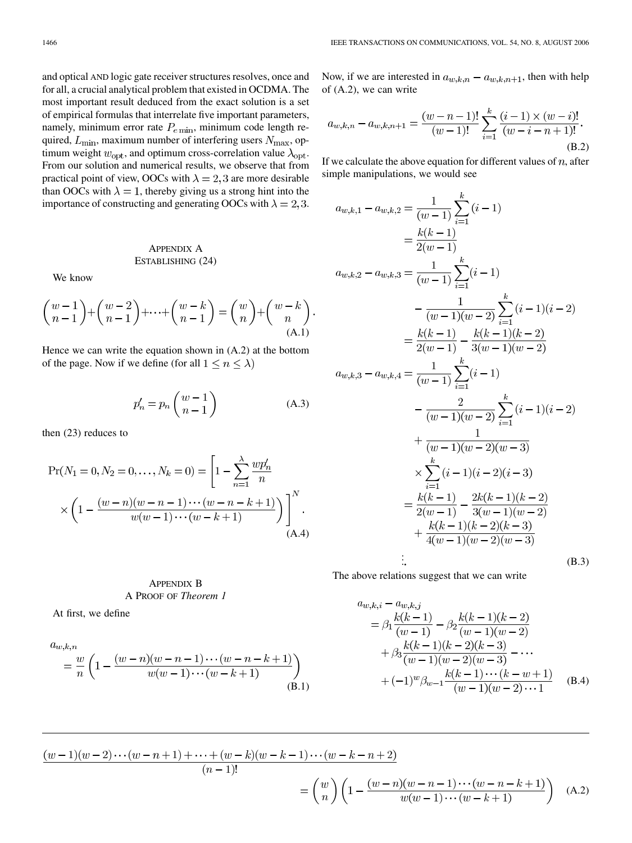<span id="page-9-0"></span>and optical AND logic gate receiver structures resolves, once and for all, a crucial analytical problem that existed in OCDMA. The most important result deduced from the exact solution is a set of empirical formulas that interrelate five important parameters, namely, minimum error rate  $P_{e \text{ min}}$ , minimum code length required,  $L_{\text{min}}$ , maximum number of interfering users  $N_{\text{max}}$ , optimum weight  $w_{\text{opt}}$ , and optimum cross-correlation value  $\lambda_{\text{opt}}$ . From our solution and numerical results, we observe that from practical point of view, OOCs with  $\lambda = 2, 3$  are more desirable than OOCs with  $\lambda = 1$ , thereby giving us a strong hint into the importance of constructing and generating OOCs with  $\lambda = 2, 3$ .

## APPENDIX A ESTABLISHING [\(24\)](#page-5-0)

We know

$$
\binom{w-1}{n-1} + \binom{w-2}{n-1} + \dots + \binom{w-k}{n-1} = \binom{w}{n} + \binom{w-k}{n}
$$
\n(A.1)

Hence we can write the equation shown in (A.2) at the bottom of the page. Now if we define (for all  $1 \le n \le \lambda$ )

$$
p'_n = p_n \binom{w-1}{n-1} \tag{A.3}
$$

then [\(23\)](#page-4-0) reduces to

$$
\Pr(N_1 = 0, N_2 = 0, \dots, N_k = 0) = \left[1 - \sum_{n=1}^{\lambda} \frac{wp'_n}{n} \times \left(1 - \frac{(w-n)(w-n-1)\cdots(w-n-k+1)}{w(w-1)\cdots(w-k+1)}\right)\right]^{N}.
$$
\n(A.4)

## APPENDIX B A PROOF OF *Theorem 1*

At first, we define

$$
a_{w,k,n}
$$
  
=  $\frac{w}{n}$   $\left(1 - \frac{(w-n)(w-n-1)\cdots(w-n-k+1)}{w(w-1)\cdots(w-k+1)}\right)$   
(B.1)

Now, if we are interested in  $a_{w,k,n} - a_{w,k,n+1}$ , then with help of (A.2), we can write

$$
a_{w,k,n} - a_{w,k,n+1} = \frac{(w-n-1)!}{(w-1)!} \sum_{i=1}^{k} \frac{(i-1) \times (w-i)!}{(w-i-n+1)!}.
$$
\n(B.2)

If we calculate the above equation for different values of  $n$ , after simple manipulations, we would see

$$
a_{w,k,1} - a_{w,k,2} = \frac{1}{(w-1)} \sum_{i=1}^{k} (i-1)
$$
  
\n
$$
= \frac{k(k-1)}{2(w-1)}
$$
  
\n
$$
a_{w,k,2} - a_{w,k,3} = \frac{1}{(w-1)} \sum_{i=1}^{k} (i-1)
$$
  
\n
$$
- \frac{1}{(w-1)(w-2)} \sum_{i=1}^{k} (i-1)(i-2)
$$
  
\n
$$
= \frac{k(k-1)}{2(w-1)} - \frac{k(k-1)(k-2)}{3(w-1)(w-2)}
$$
  
\n
$$
a_{w,k,3} - a_{w,k,4} = \frac{1}{(w-1)} \sum_{i=1}^{k} (i-1)
$$
  
\n
$$
- \frac{2}{(w-1)(w-2)} \sum_{i=1}^{k} (i-1)(i-2)
$$
  
\n
$$
+ \frac{1}{(w-1)(w-2)(w-3)}
$$
  
\n
$$
\times \sum_{i=1}^{k} (i-1)(i-2)(i-3)
$$
  
\n
$$
= \frac{k(k-1)}{2(w-1)} - \frac{2k(k-1)(k-2)}{3(w-1)(w-2)}
$$
  
\n
$$
+ \frac{k(k-1)(k-2)(k-3)}{4(w-1)(w-2)(w-3)}
$$
  
\n
$$
\vdots
$$
 (B.3)

The above relations suggest that we can write

$$
a_{w,k,i} - a_{w,k,j}
$$
  
=  $\beta_1 \frac{k(k-1)}{(w-1)} - \beta_2 \frac{k(k-1)(k-2)}{(w-1)(w-2)}$   
+  $\beta_3 \frac{k(k-1)(k-2)(k-3)}{(w-1)(w-2)(w-3)} - \cdots$   
+  $(-1)^w \beta_{w-1} \frac{k(k-1)\cdots(k-w+1)}{(w-1)(w-2)\cdots1}$  (B.4)

$$
\frac{(w-1)(w-2)\cdots(w-n+1)+\cdots+(w-k)(w-k-1)\cdots(w-k-n+2)}{(n-1)!} = \binom{w}{n} \left(1 - \frac{(w-n)(w-n-1)\cdots(w-n-k+1)}{w(w-1)\cdots(w-k+1)}\right)
$$
 (A.2)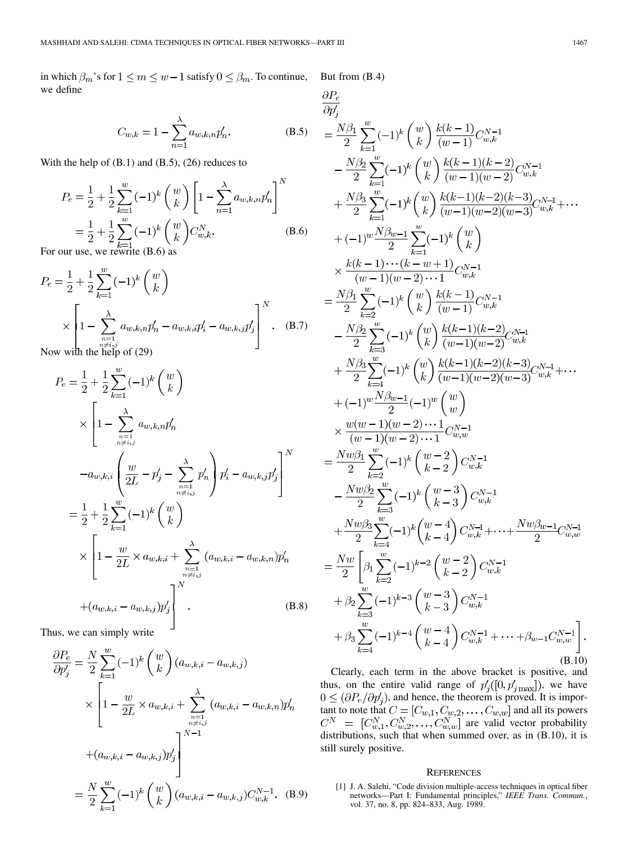<span id="page-10-0"></span>in which  $\beta_m$ 's for  $1 \le m \le w-1$  satisfy  $0 \le \beta_m$ . To continue, we define  $\Delta$  $\overline{D}$ 

$$
C_{w,k} = 1 - \sum_{n=1}^{\lambda} a_{w,k,n} p'_n.
$$
 (B.5)

With the help of  $(B.1)$  and  $(B.5)$ ,  $(26)$  reduces to

$$
P_e = \frac{1}{2} + \frac{1}{2} \sum_{k=1}^{w} (-1)^k {w \choose k} \left[ 1 - \sum_{n=1}^{\lambda} a_{w,k,n} p'_n \right]^N
$$
  
=  $\frac{1}{2} + \frac{1}{2} \sum_{k=1}^{w} (-1)^k {w \choose k} C_{w,k}^N.$  (B.6)

For our use, we rewrite (B.6) as

$$
P_e = \frac{1}{2} + \frac{1}{2} \sum_{k=1}^{w} (-1)^k {w \choose k}
$$
  
 
$$
\times \left[ 1 - \sum_{\substack{n=1 \\ n \neq i,j \\ n \neq b}}^{\lambda} a_{w,k,n} p'_n - a_{w,k,i} p'_i - a_{w,k,j} p'_j \right]^N.
$$
 (B.7)

with the help of  $(29)$ 

$$
P_e = \frac{1}{2} + \frac{1}{2} \sum_{k=1}^{w} (-1)^k {w \choose k}
$$
  
\n
$$
\times \left[ 1 - \sum_{\substack{n=1 \ n \neq i,j}}^{\lambda} a_{w,k,n} p'_n - a_{w,k,i} \left( \frac{w}{2L} - p'_j - \sum_{\substack{n=1 \ n \neq i,j}}^{\lambda} p'_n \right) p'_i - a_{w,k,j} p'_j \right]^N
$$
  
\n
$$
= \frac{1}{2} + \frac{1}{2} \sum_{k=1}^{w} (-1)^k {w \choose k}
$$
  
\n
$$
\times \left[ 1 - \frac{w}{2L} \times a_{w,k,i} + \sum_{\substack{n=1 \ n \neq i,j}}^{\lambda} (a_{w,k,i} - a_{w,k,n}) p'_n + (a_{w,k,i} - a_{w,k,j}) p'_j \right]^N.
$$
 (B.8)

Thus, we can simply write

$$
\frac{\partial P_e}{\partial p'_j} = \frac{N}{2} \sum_{k=1}^w (-1)^k \binom{w}{k} (a_{w,k,i} - a_{w,k,j})
$$
  
 
$$
\times \left[ 1 - \frac{w}{2L} \times a_{w,k,i} + \sum_{\substack{n=1 \ n \neq i,j}}^{\lambda} (a_{w,k,i} - a_{w,k,n}) p'_n \right]
$$
  
+ 
$$
(a_{w,k,i} - a_{w,k,j}) p'_j
$$
  
= 
$$
\frac{N}{2} \sum_{k=1}^w (-1)^k \binom{w}{k} (a_{w,k,i} - a_{w,k,j}) C_{w,k}^{N-1}.
$$
 (B.9)

But from [\(B.4\)](#page-9-0)

$$
\frac{\partial P_e}{\partial p'_j} = \frac{N\beta_1}{2} \sum_{k=1}^w (-1)^k {w \choose k} \frac{k(k-1)}{(w-1)} C_{w,k}^{N-1}
$$
\n
$$
- \frac{N\beta_2}{2} \sum_{k=1}^w (-1)^k {w \choose k} \frac{k(k-1)(k-2)}{(w-1)(w-2)} C_{w,k}^{N-1}
$$
\n
$$
+ \frac{N\beta_3}{2} \sum_{k=1}^w (-1)^k {w \choose k} \frac{k(k-1)(k-2)(k-3)}{(w-1)(w-2)(w-3)} C_{w,k}^{N-1} + \cdots
$$
\n
$$
+ (-1)^w \frac{N\beta_{w-1}}{2} \sum_{k=1}^w (-1)^k {w \choose k}
$$
\n
$$
\times \frac{k(k-1)\cdots(k-w+1)}{(w-1)(w-2)\cdots1} C_{w,k}^{N-1}
$$
\n
$$
= \frac{N\beta_1}{2} \sum_{k=2}^w (-1)^k {w \choose k} \frac{k(k-1)}{(w-1)} C_{w,k}^{N-1}
$$
\n
$$
- \frac{N\beta_2}{2} \sum_{k=3}^w (-1)^k {w \choose k} \frac{k(k-1)(k-2)}{(w-1)(w-2)} C_{w,k}^{N-1}
$$
\n
$$
+ \frac{N\beta_3}{2} \sum_{k=4}^w (-1)^k {w \choose k} \frac{k(k-1)(k-2)(k-3)}{(w-1)(w-2)(w-3)} C_{w,k}^{N-1} + \cdots
$$
\n
$$
+ (-1)^w \frac{N\beta_{w-1}}{2} (-1)^k {w \choose k-2} C_{w,k}^{N-1}
$$
\n
$$
= \frac{Nw\beta_1}{2} \sum_{k=3}^w (-1)^k {w-2 \choose k-2} C_{w,k}^{N-1}
$$
\n
$$
= \frac{Nw\beta_1}{2} \sum_{k=3}^w (-1)^k {w-4 \choose k-3} C_{w,k}^{N-1}
$$
\n
$$
+ \frac{Nw\beta_2}{2} \sum_{k=4}^w (-1)^k {w-4 \choose k-4} C_{w,k}^{N-1} + \cdots + \frac{Nw\beta_{w-1}}
$$

Clearly, each term in the above bracket is positive, and thus, on the entire valid range of  $p'_{i}([0, p'_{imax}])$ , we have , and hence, the theorem is proved. It is important to note that  $C = [C_{w,1}, C_{w,2}, \ldots, C_{w,w}]$  and all its powers are valid vector probability distributions, such that when summed over, as in (B.10), it is still surely positive.

#### **REFERENCES**

[1] J. A. Salehi, "Code division multiple-access techniques in optical fiber networks—Part I: Fundamental principles," *IEEE Trans. Commun.*, vol. 37, no. 8, pp. 824–833, Aug. 1989.